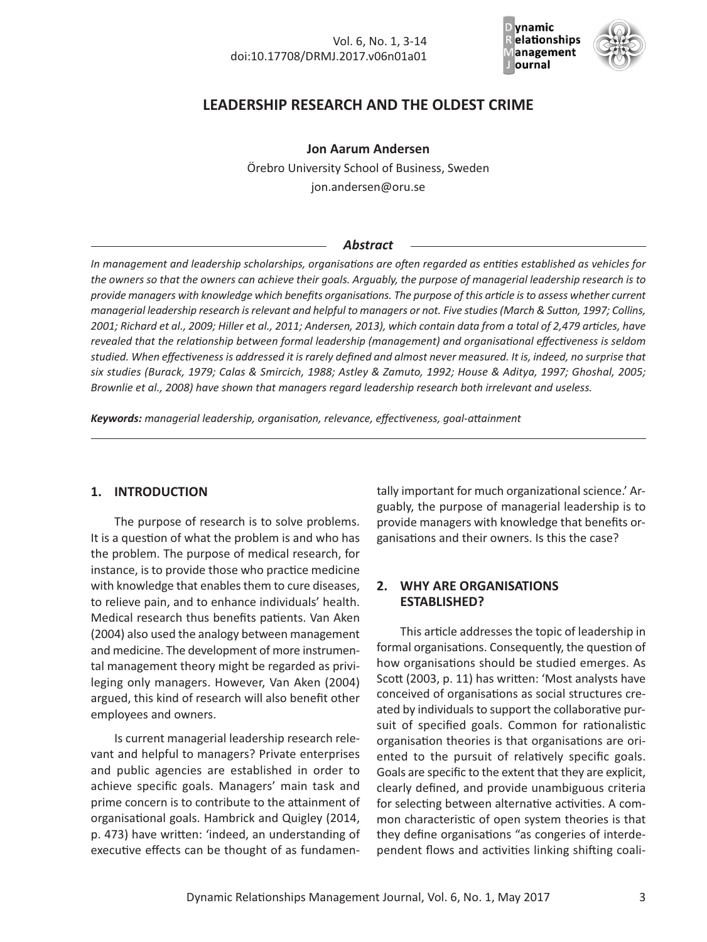

# **LEADERSHIP RESEARCH AND THE OLDEST CRIME**

**Jon Aarum Andersen**

Örebro University School of Business, Sweden jon.andersen@oru.se

### *Abstract*

*In management and leadership scholarships, organisations are often regarded as entities established as vehicles for* the owners so that the owners can achieve their goals. Arguably, the purpose of managerial leadership research is to provide managers with knowledge which benefits organisations. The purpose of this article is to assess whether current managerial leadership research is relevant and helpful to managers or not. Five studies (March & Sutton, 1997; Collins, 2001; Richard et al., 2009; Hiller et al., 2011; Andersen, 2013), which contain data from a total of 2,479 articles, have *revealed that the relationship between formal leadership (management) and organisational effectiveness is seldom* studied. When effectiveness is addressed it is rarely defined and almost never measured. It is, indeed, no surprise that six studies (Burack, 1979; Calas & Smircich, 1988; Astley & Zamuto, 1992; House & Aditya, 1997; Ghoshal, 2005; *Brownlie et al., 2008) have shown that managers regard leadership research both irrelevant and useless.*

*Keywords: managerial leadership, organisation, relevance, effectiveness, goal-attainment*

# **1. INTRODUCTION**

The purpose of research is to solve problems. It is a question of what the problem is and who has the problem. The purpose of medical research, for instance, is to provide those who practice medicine with knowledge that enables them to cure diseases, to relieve pain, and to enhance individuals' health. Medical research thus benefits patients. Van Aken (2004) also used the analogy between management and medicine. The development of more instrumental management theory might be regarded as privileging only managers. However, Van Aken (2004) argued, this kind of research will also benefit other employees and owners.

Is current managerial leadership research relevant and helpful to managers? Private enterprises and public agencies are established in order to achieve specific goals. Managers' main task and prime concern is to contribute to the attainment of organisational goals. Hambrick and Quigley (2014, p. 473) have written: 'indeed, an understanding of executive effects can be thought of as fundamentally important for much organizational science.' Arguably, the purpose of managerial leadership is to provide managers with knowledge that benefits organisations and their owners. Is this the case?

## **2. WHY ARE ORGANISATIONS ESTABLISHED?**

This article addresses the topic of leadership in formal organisations. Consequently, the question of how organisations should be studied emerges. As Scott (2003, p. 11) has written: 'Most analysts have conceived of organisations as social structures created by individuals to support the collaborative pursuit of specified goals. Common for rationalistic organisation theories is that organisations are oriented to the pursuit of relatively specific goals. Goals are specific to the extent that they are explicit, clearly defined, and provide unambiguous criteria for selecting between alternative activities. A common characteristic of open system theories is that they define organisations "as congeries of interdependent flows and activities linking shifting coali-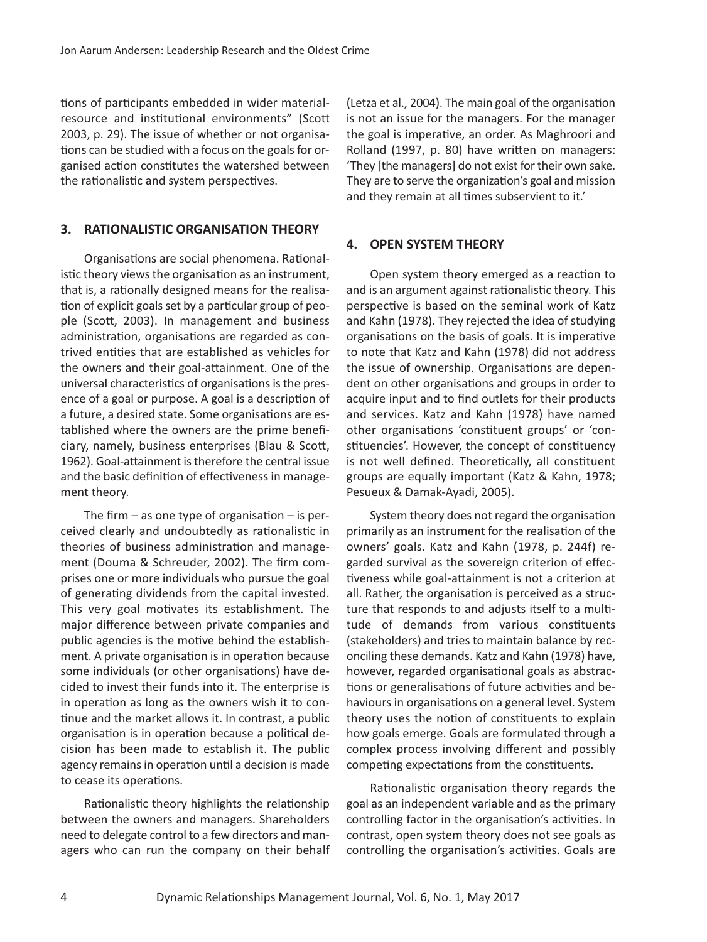tions of participants embedded in wider materialresource and institutional environments" (Scott 2003, p. 29). The issue of whether or not organisations can be studied with a focus on the goals for organised action constitutes the watershed between the rationalistic and system perspectives.

#### **3. RATIONALISTIC ORGANISATION THEORY**

Organisations are social phenomena. Rationalistic theory views the organisation as an instrument, that is, a rationally designed means for the realisation of explicit goals set by a particular group of people (Scott, 2003). In management and business administration, organisations are regarded as contrived entities that are established as vehicles for the owners and their goal-attainment. One of the universal characteristics of organisations is the presence of a goal or purpose. A goal is a description of a future, a desired state. Some organisations are established where the owners are the prime beneficiary, namely, business enterprises (Blau & Scott, 1962). Goal-attainment is therefore the central issue and the basic definition of effectivenessin management theory.

The firm  $-$  as one type of organisation  $-$  is perceived clearly and undoubtedly as rationalistic in theories of business administration and management (Douma & Schreuder, 2002). The firm comprises one or more individuals who pursue the goal of generating dividends from the capital invested. This very goal motivates its establishment. The major difference between private companies and public agencies is the motive behind the establishment. A private organisation is in operation because some individuals (or other organisations) have decided to invest their funds into it. The enterprise is in operation as long as the owners wish it to continue and the market allows it. In contrast, a public organisation is in operation because a political decision has been made to establish it. The public agency remains in operation until a decision is made to cease its operations.

Rationalistic theory highlights the relationship between the owners and managers. Shareholders need to delegate control to a few directors and managers who can run the company on their behalf (Letza et al., 2004). The main goal of the organisation is not an issue for the managers. For the manager the goal is imperative, an order. As Maghroori and Rolland (1997, p. 80) have written on managers: 'They [the managers] do not exist for their own sake. They are to serve the organization's goal and mission and they remain at all times subservient to it.'

#### **4. OPEN SYSTEM THEORY**

Open system theory emerged as a reaction to and is an argument against rationalistic theory. This perspective is based on the seminal work of Katz and Kahn (1978). They rejected the idea of studying organisations on the basis of goals. It is imperative to note that Katz and Kahn (1978) did not address the issue of ownership. Organisations are dependent on other organisations and groups in order to acquire input and to find outlets for their products and services. Katz and Kahn (1978) have named other organisations 'constituent groups' or 'constituencies'. However, the concept of constituency is not well defined. Theoretically, all constituent groups are equally important (Katz & Kahn, 1978; Pesueux & Damak-Ayadi, 2005).

System theory does not regard the organisation primarily as an instrument for the realisation of the owners' goals. Katz and Kahn (1978, p. 244f) regarded survival as the sovereign criterion of effectiveness while goal-attainment is not a criterion at all. Rather, the organisation is perceived as a structure that responds to and adjusts itself to a multitude of demands from various constituents (stakeholders) and tries to maintain balance by reconciling these demands. Katz and Kahn (1978) have, however, regarded organisational goals as abstractions or generalisations of future activities and behaviours in organisations on a general level. System theory uses the notion of constituents to explain how goals emerge. Goals are formulated through a complex process involving different and possibly competing expectations from the constituents.

Rationalistic organisation theory regards the goal as an independent variable and as the primary controlling factor in the organisation's activities. In contrast, open system theory does not see goals as controlling the organisation's activities. Goals are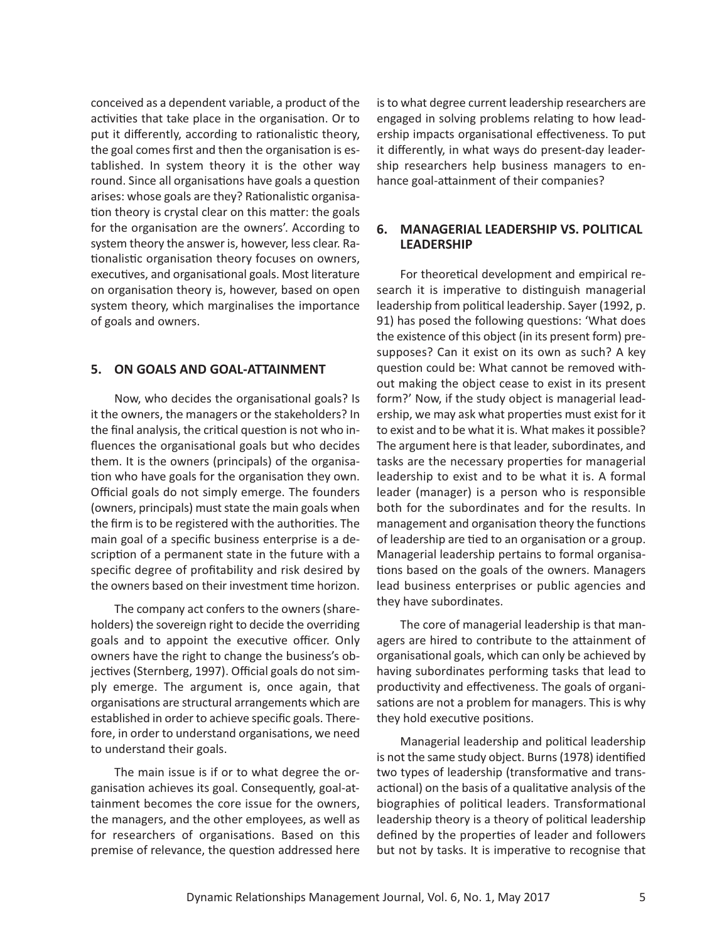conceived as a dependent variable, a product of the activities that take place in the organisation. Or to put it differently, according to rationalistic theory, the goal comes first and then the organisation is established. In system theory it is the other way round. Since all organisations have goals a question arises: whose goals are they? Rationalistic organisation theory is crystal clear on this matter: the goals for the organisation are the owners'. According to system theory the answer is, however, less clear. Rationalistic organisation theory focuses on owners, executives, and organisational goals. Most literature on organisation theory is, however, based on open system theory, which marginalises the importance of goals and owners.

## **5. ON GOALS AND GOAL-ATTAINMENT**

Now, who decides the organisational goals? Is it the owners, the managers or the stakeholders? In the final analysis, the critical question is not who influences the organisational goals but who decides them. It is the owners (principals) of the organisation who have goals for the organisation they own. Official goals do not simply emerge. The founders (owners, principals) must state the main goals when the firm isto be registered with the authorities. The main goal of a specific business enterprise is a description of a permanent state in the future with a specific degree of profitability and risk desired by the owners based on their investment time horizon.

The company act confers to the owners (shareholders) the sovereign right to decide the overriding goals and to appoint the executive officer. Only owners have the right to change the business's objectives (Sternberg, 1997). Official goals do not simply emerge. The argument is, once again, that organisations are structural arrangements which are established in order to achieve specific goals. Therefore, in order to understand organisations, we need to understand their goals.

The main issue is if or to what degree the organisation achieves its goal. Consequently, goal-attainment becomes the core issue for the owners, the managers, and the other employees, as well as for researchers of organisations. Based on this premise of relevance, the question addressed here isto what degree current leadership researchers are engaged in solving problems relating to how leadership impacts organisational effectiveness. To put it differently, in what ways do present-day leadership researchers help business managers to enhance goal-attainment of their companies?

## **6. MANAGERIAL LEADERSHIP VS. POLITICAL LEADERSHIP**

For theoretical development and empirical research it is imperative to distinguish managerial leadership from political leadership. Sayer (1992, p. 91) has posed the following questions: 'What does the existence of this object (in its present form) presupposes? Can it exist on its own as such? A key question could be: What cannot be removed without making the object cease to exist in its present form?' Now, if the study object is managerial leadership, we may ask what properties must exist for it to exist and to be what it is. What makes it possible? The argument here is that leader, subordinates, and tasks are the necessary properties for managerial leadership to exist and to be what it is. A formal leader (manager) is a person who is responsible both for the subordinates and for the results. In management and organisation theory the functions of leadership are tied to an organisation or a group. Managerial leadership pertains to formal organisations based on the goals of the owners. Managers lead business enterprises or public agencies and they have subordinates.

The core of managerial leadership is that managers are hired to contribute to the attainment of organisational goals, which can only be achieved by having subordinates performing tasks that lead to productivity and effectiveness. The goals of organisations are not a problem for managers. This is why they hold executive positions.

Managerial leadership and political leadership is not the same study object. Burns(1978) identified two types of leadership (transformative and transactional) on the basis of a qualitative analysis of the biographies of political leaders. Transformational leadership theory is a theory of political leadership defined by the properties of leader and followers but not by tasks. It is imperative to recognise that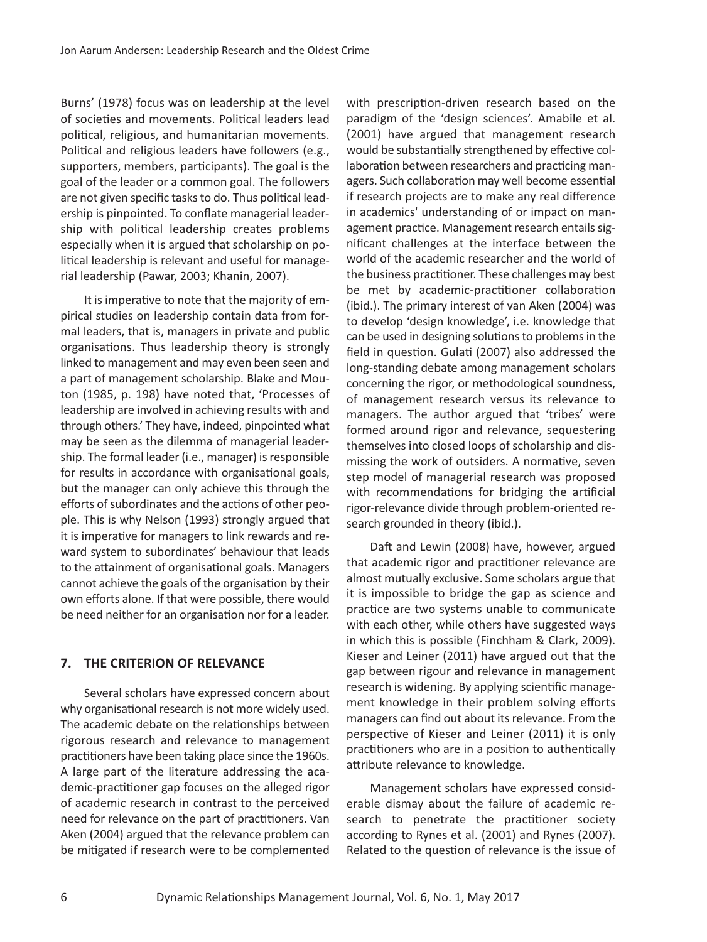Burns' (1978) focus was on leadership at the level of societies and movements. Political leaders lead political, religious, and humanitarian movements. Political and religious leaders have followers (e.g., supporters, members, participants). The goal is the goal of the leader or a common goal. The followers are not given specific tasks to do. Thus political leadership is pinpointed. To conflate managerial leadership with political leadership creates problems especially when it is argued that scholarship on political leadership is relevant and useful for managerial leadership (Pawar, 2003; Khanin, 2007).

It is imperative to note that the majority of empirical studies on leadership contain data from formal leaders, that is, managers in private and public organisations. Thus leadership theory is strongly linked to management and may even been seen and a part of management scholarship. Blake and Mouton (1985, p. 198) have noted that, 'Processes of leadership are involved in achieving results with and through others.' They have, indeed, pinpointed what may be seen as the dilemma of managerial leadership. The formal leader (i.e., manager) is responsible for results in accordance with organisational goals, but the manager can only achieve this through the efforts of subordinates and the actions of other people. This is why Nelson (1993) strongly argued that it is imperative for managers to link rewards and reward system to subordinates' behaviour that leads to the attainment of organisational goals. Managers cannot achieve the goals of the organisation by their own efforts alone. If that were possible, there would be need neither for an organisation nor for a leader.

## **7. THE CRITERION OF RELEVANCE**

Several scholars have expressed concern about why organisational research is not more widely used. The academic debate on the relationships between rigorous research and relevance to management practitioners have been taking place since the 1960s. A large part of the literature addressing the academic-practitioner gap focuses on the alleged rigor of academic research in contrast to the perceived need for relevance on the part of practitioners. Van Aken (2004) argued that the relevance problem can be mitigated if research were to be complemented with prescription-driven research based on the paradigm of the 'design sciences'. Amabile et al. (2001) have argued that management research would be substantially strengthened by effective collaboration between researchers and practicing managers. Such collaboration may well become essential if research projects are to make any real difference in academics' understanding of or impact on management practice. Management research entails significant challenges at the interface between the world of the academic researcher and the world of the business practitioner. These challenges may best be met by academic-practitioner collaboration (ibid.). The primary interest of van Aken (2004) was to develop 'design knowledge', i.e. knowledge that can be used in designing solutions to problems in the field in question. Gulati (2007) also addressed the long-standing debate among management scholars concerning the rigor, or methodological soundness, of management research versus its relevance to managers. The author argued that 'tribes' were formed around rigor and relevance, sequestering themselves into closed loops of scholarship and dismissing the work of outsiders. A normative, seven step model of managerial research was proposed with recommendations for bridging the artificial rigor-relevance divide through problem-oriented research grounded in theory (ibid.).

Daft and Lewin (2008) have, however, argued that academic rigor and practitioner relevance are almost mutually exclusive. Some scholars argue that it is impossible to bridge the gap as science and practice are two systems unable to communicate with each other, while others have suggested ways in which this is possible (Finchham & Clark, 2009). Kieser and Leiner (2011) have argued out that the gap between rigour and relevance in management research is widening. By applying scientific management knowledge in their problem solving efforts managers can find out about itsrelevance. From the perspective of Kieser and Leiner (2011) it is only practitioners who are in a position to authentically attribute relevance to knowledge.

Management scholars have expressed considerable dismay about the failure of academic research to penetrate the practitioner society according to Rynes et al. (2001) and Rynes (2007). Related to the question of relevance is the issue of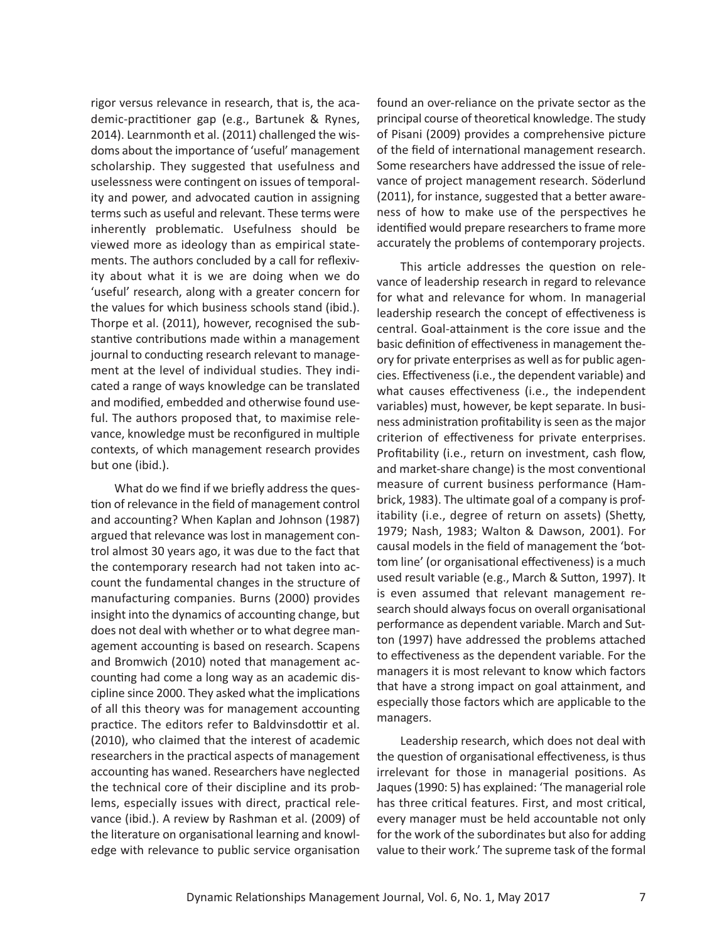rigor versus relevance in research, that is, the academic-practitioner gap (e.g., Bartunek & Rynes, 2014). Learnmonth et al. (2011) challenged the wisdoms about the importance of 'useful' management scholarship. They suggested that usefulness and uselessness were contingent on issues of temporality and power, and advocated caution in assigning terms such as useful and relevant. These terms were inherently problematic. Usefulness should be viewed more as ideology than as empirical statements. The authors concluded by a call for reflexivity about what it is we are doing when we do 'useful' research, along with a greater concern for the values for which business schools stand (ibid.). Thorpe et al. (2011), however, recognised the substantive contributions made within a management journal to conducting research relevant to management at the level of individual studies. They indicated a range of ways knowledge can be translated and modified, embedded and otherwise found useful. The authors proposed that, to maximise relevance, knowledge must be reconfigured in multiple contexts, of which management research provides but one (ibid.).

What do we find if we briefly address the question of relevance in the field of management control and accounting? When Kaplan and Johnson (1987) argued that relevance was lost in management control almost 30 years ago, it was due to the fact that the contemporary research had not taken into account the fundamental changes in the structure of manufacturing companies. Burns (2000) provides insight into the dynamics of accounting change, but does not deal with whether or to what degree management accounting is based on research. Scapens and Bromwich (2010) noted that management accounting had come a long way as an academic discipline since 2000. They asked what the implications of all this theory was for management accounting practice. The editors refer to Baldvinsdottir et al. (2010), who claimed that the interest of academic researchers in the practical aspects of management accounting has waned. Researchers have neglected the technical core of their discipline and its problems, especially issues with direct, practical relevance (ibid.). A review by Rashman et al. (2009) of the literature on organisational learning and knowledge with relevance to public service organisation

found an over-reliance on the private sector as the principal course of theoretical knowledge. The study of Pisani (2009) provides a comprehensive picture of the field of international management research. Some researchers have addressed the issue of relevance of project management research. Söderlund (2011), for instance, suggested that a better awareness of how to make use of the perspectives he identified would prepare researchers to frame more accurately the problems of contemporary projects.

This article addresses the question on relevance of leadership research in regard to relevance for what and relevance for whom. In managerial leadership research the concept of effectiveness is central. Goal-attainment is the core issue and the basic definition of effectivenessin management theory for private enterprises as well as for public agencies. Effectiveness(i.e., the dependent variable) and what causes effectiveness (i.e., the independent variables) must, however, be kept separate. In business administration profitability is seen as the major criterion of effectiveness for private enterprises. Profitability (i.e., return on investment, cash flow, and market-share change) is the most conventional measure of current business performance (Hambrick, 1983). The ultimate goal of a company is profitability (i.e., degree of return on assets) (Shetty, 1979; Nash, 1983; Walton & Dawson, 2001). For causal models in the field of management the 'bottom line' (or organisational effectiveness) is a much used result variable (e.g., March & Sutton, 1997). It is even assumed that relevant management research should always focus on overall organisational performance as dependent variable. March and Sutton (1997) have addressed the problems attached to effectiveness as the dependent variable. For the managers it is most relevant to know which factors that have a strong impact on goal attainment, and especially those factors which are applicable to the managers.

Leadership research, which does not deal with the question of organisational effectiveness, is thus irrelevant for those in managerial positions. As Jaques(1990: 5) has explained: 'The managerial role has three critical features. First, and most critical, every manager must be held accountable not only for the work of the subordinates but also for adding value to their work.' The supreme task of the formal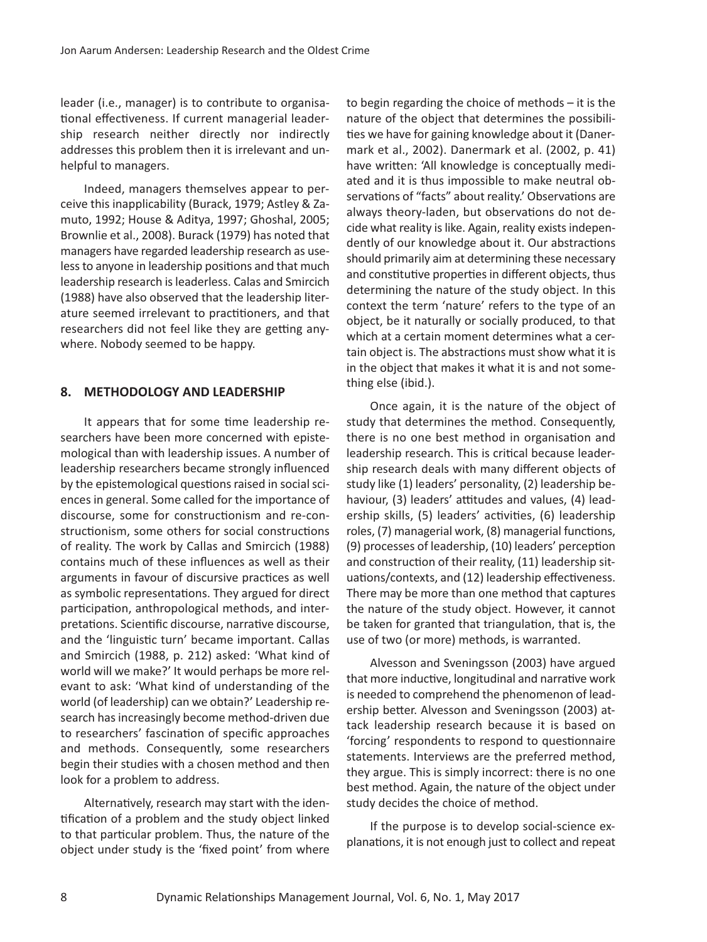leader (i.e., manager) is to contribute to organisational effectiveness. If current managerial leadership research neither directly nor indirectly addresses this problem then it is irrelevant and unhelpful to managers.

Indeed, managers themselves appear to perceive this inapplicability (Burack, 1979; Astley & Zamuto, 1992; House & Aditya, 1997; Ghoshal, 2005; Brownlie et al., 2008). Burack (1979) has noted that managers have regarded leadership research as uselessto anyone in leadership positions and that much leadership research isleaderless. Calas and Smircich (1988) have also observed that the leadership literature seemed irrelevant to practitioners, and that researchers did not feel like they are getting anywhere. Nobody seemed to be happy.

### **8. METHODOLOGY AND LEADERSHIP**

It appears that for some time leadership researchers have been more concerned with epistemological than with leadership issues. A number of leadership researchers became strongly influenced by the epistemological questions raised in social sciences in general. Some called for the importance of discourse, some for constructionism and re-constructionism, some others for social constructions of reality. The work by Callas and Smircich (1988) contains much of these influences as well as their arguments in favour of discursive practices as well as symbolic representations. They argued for direct participation, anthropological methods, and interpretations. Scientific discourse, narrative discourse, and the 'linguistic turn' became important. Callas and Smircich (1988, p. 212) asked: 'What kind of world will we make?' It would perhaps be more relevant to ask: 'What kind of understanding of the world (of leadership) can we obtain?' Leadership research has increasingly become method-driven due to researchers' fascination of specific approaches and methods. Consequently, some researchers begin their studies with a chosen method and then look for a problem to address.

Alternatively, research may start with the identification of a problem and the study object linked to that particular problem. Thus, the nature of the object under study is the 'fixed point' from where to begin regarding the choice of methods – it is the nature of the object that determines the possibilities we have for gaining knowledge about it (Danermark et al., 2002). Danermark et al. (2002, p. 41) have written: 'All knowledge is conceptually mediated and it is thus impossible to make neutral observations of "facts" about reality.' Observations are always theory-laden, but observations do not decide what reality is like. Again, reality exists independently of our knowledge about it. Our abstractions should primarily aim at determining these necessary and constitutive properties in different objects, thus determining the nature of the study object. In this context the term 'nature' refers to the type of an object, be it naturally or socially produced, to that which at a certain moment determines what a certain object is. The abstractions must show what it is in the object that makes it what it is and not something else (ibid.).

Once again, it is the nature of the object of study that determines the method. Consequently, there is no one best method in organisation and leadership research. This is critical because leadership research deals with many different objects of study like (1) leaders' personality, (2) leadership behaviour, (3) leaders' attitudes and values, (4) leadership skills, (5) leaders' activities, (6) leadership roles, (7) managerial work, (8) managerial functions, (9) processes of leadership, (10) leaders' perception and construction of their reality, (11) leadership situations/contexts, and (12) leadership effectiveness. There may be more than one method that captures the nature of the study object. However, it cannot be taken for granted that triangulation, that is, the use of two (or more) methods, is warranted.

Alvesson and Sveningsson (2003) have argued that more inductive, longitudinal and narrative work is needed to comprehend the phenomenon of leadership better. Alvesson and Sveningsson (2003) attack leadership research because it is based on 'forcing' respondents to respond to questionnaire statements. Interviews are the preferred method, they argue. This is simply incorrect: there is no one best method. Again, the nature of the object under study decides the choice of method.

If the purpose is to develop social-science explanations, it is not enough just to collect and repeat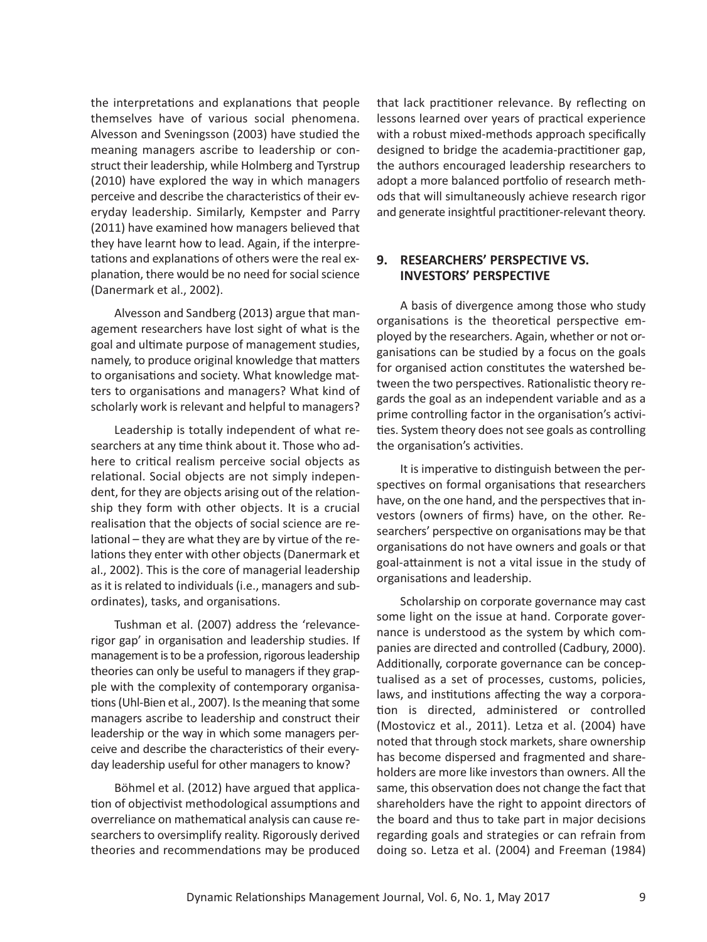the interpretations and explanations that people themselves have of various social phenomena. Alvesson and Sveningsson (2003) have studied the meaning managers ascribe to leadership or construct their leadership, while Holmberg and Tyrstrup (2010) have explored the way in which managers perceive and describe the characteristics of their everyday leadership. Similarly, Kempster and Parry (2011) have examined how managers believed that they have learnt how to lead. Again, if the interpretations and explanations of others were the real explanation, there would be no need for social science (Danermark et al., 2002).

Alvesson and Sandberg (2013) argue that management researchers have lost sight of what is the goal and ultimate purpose of management studies, namely, to produce original knowledge that matters to organisations and society. What knowledge matters to organisations and managers? What kind of scholarly work is relevant and helpful to managers?

Leadership is totally independent of what researchers at any time think about it. Those who adhere to critical realism perceive social objects as relational. Social objects are not simply independent, for they are objects arising out of the relationship they form with other objects. It is a crucial realisation that the objects of social science are relational – they are what they are by virtue of the relations they enter with other objects (Danermark et al., 2002). This is the core of managerial leadership as it is related to individuals (i.e., managers and subordinates), tasks, and organisations.

Tushman et al. (2007) address the 'relevancerigor gap' in organisation and leadership studies. If management is to be a profession, rigorous leadership theories can only be useful to managers if they grapple with the complexity of contemporary organisations (Uhl-Bien et al., 2007). Is the meaning that some managers ascribe to leadership and construct their leadership or the way in which some managers perceive and describe the characteristics of their everyday leadership useful for other managers to know?

Böhmel et al. (2012) have argued that application of objectivist methodological assumptions and overreliance on mathematical analysis can cause researchers to oversimplify reality. Rigorously derived theories and recommendations may be produced

that lack practitioner relevance. By reflecting on lessons learned over years of practical experience with a robust mixed-methods approach specifically designed to bridge the academia-practitioner gap, the authors encouraged leadership researchers to adopt a more balanced portfolio of research methods that will simultaneously achieve research rigor and generate insightful practitioner-relevant theory.

## **9. RESEARCHERS' PERSPECTIVE VS. INVESTORS' PERSPECTIVE**

A basis of divergence among those who study organisations is the theoretical perspective employed by the researchers. Again, whether or not organisations can be studied by a focus on the goals for organised action constitutes the watershed between the two perspectives. Rationalistic theory regards the goal as an independent variable and as a prime controlling factor in the organisation's activities. System theory does not see goals as controlling the organisation's activities.

It is imperative to distinguish between the perspectives on formal organisations that researchers have, on the one hand, and the perspectives that investors (owners of firms) have, on the other. Researchers' perspective on organisations may be that organisations do not have owners and goals or that goal-attainment is not a vital issue in the study of organisations and leadership.

Scholarship on corporate governance may cast some light on the issue at hand. Corporate governance is understood as the system by which companies are directed and controlled (Cadbury, 2000). Additionally, corporate governance can be conceptualised as a set of processes, customs, policies, laws, and institutions affecting the way a corporation is directed, administered or controlled (Mostovicz et al., 2011). Letza et al. (2004) have noted that through stock markets, share ownership has become dispersed and fragmented and shareholders are more like investors than owners. All the same, this observation does not change the fact that shareholders have the right to appoint directors of the board and thus to take part in major decisions regarding goals and strategies or can refrain from doing so. Letza et al. (2004) and Freeman (1984)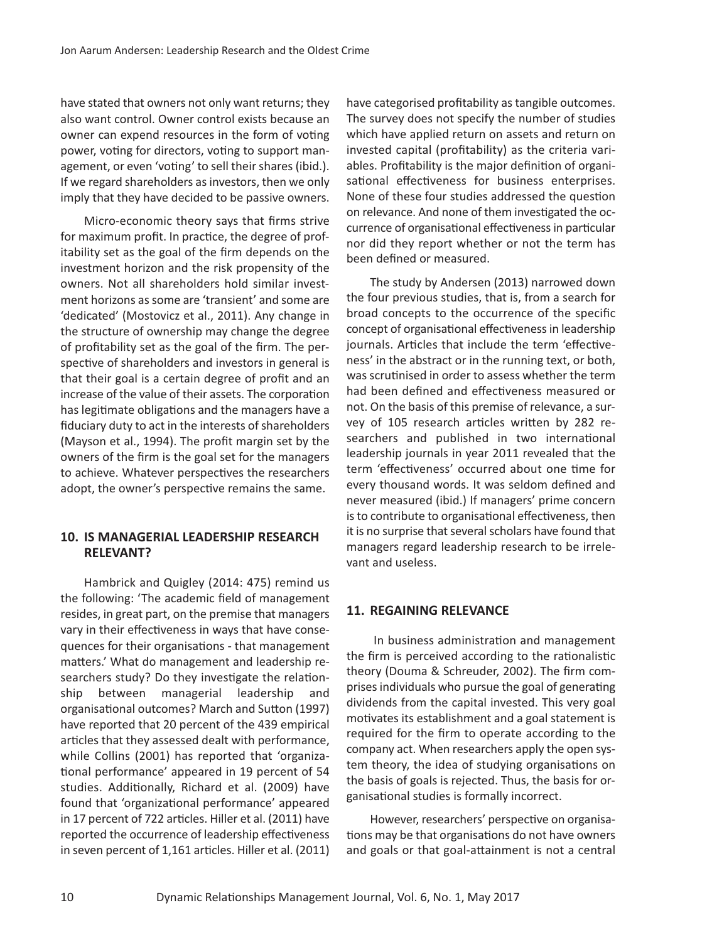have stated that owners not only want returns; they also want control. Owner control exists because an owner can expend resources in the form of voting power, voting for directors, voting to support management, or even 'voting' to sell their shares (ibid.). If we regard shareholders as investors, then we only imply that they have decided to be passive owners.

Micro-economic theory says that firms strive for maximum profit. In practice, the degree of profitability set as the goal of the firm depends on the investment horizon and the risk propensity of the owners. Not all shareholders hold similar investment horizons as some are 'transient' and some are 'dedicated' (Mostovicz et al., 2011). Any change in the structure of ownership may change the degree of profitability set as the goal of the firm. The perspective of shareholders and investors in general is that their goal is a certain degree of profit and an increase of the value of their assets. The corporation has legitimate obligations and the managers have a fiduciary duty to act in the interests of shareholders (Mayson et al., 1994). The profit margin set by the owners of the firm is the goal set for the managers to achieve. Whatever perspectives the researchers adopt, the owner's perspective remains the same.

# **10. IS MANAGERIAL LEADERSHIP RESEARCH RELEVANT?**

Hambrick and Quigley (2014: 475) remind us the following: 'The academic field of management resides, in great part, on the premise that managers vary in their effectiveness in ways that have consequences for their organisations - that management matters.' What do management and leadership researchers study? Do they investigate the relationship between managerial leadership and organisational outcomes? March and Sutton (1997) have reported that 20 percent of the 439 empirical articles that they assessed dealt with performance, while Collins (2001) has reported that 'organizational performance' appeared in 19 percent of 54 studies. Additionally, Richard et al. (2009) have found that 'organizational performance' appeared in 17 percent of 722 articles. Hiller et al. (2011) have reported the occurrence of leadership effectiveness in seven percent of 1,161 articles. Hiller et al. (2011) have categorised profitability as tangible outcomes. The survey does not specify the number of studies which have applied return on assets and return on invested capital (profitability) as the criteria variables. Profitability is the major definition of organisational effectiveness for business enterprises. None of these four studies addressed the question on relevance. And none of them investigated the occurrence of organisational effectivenessin particular nor did they report whether or not the term has been defined or measured.

The study by Andersen (2013) narrowed down the four previous studies, that is, from a search for broad concepts to the occurrence of the specific concept of organisational effectivenessin leadership journals. Articles that include the term 'effectiveness' in the abstract or in the running text, or both, was scrutinised in order to assess whether the term had been defined and effectiveness measured or not. On the basis of this premise of relevance, a survey of 105 research articles written by 282 researchers and published in two international leadership journals in year 2011 revealed that the term 'effectiveness' occurred about one time for every thousand words. It was seldom defined and never measured (ibid.) If managers' prime concern is to contribute to organisational effectiveness, then it is no surprise that several scholars have found that managers regard leadership research to be irrelevant and useless.

## **11. REGAINING RELEVANCE**

In business administration and management the firm is perceived according to the rationalistic theory (Douma & Schreuder, 2002). The firm comprisesindividuals who pursue the goal of generating dividends from the capital invested. This very goal motivates its establishment and a goal statement is required for the firm to operate according to the company act. When researchers apply the open system theory, the idea of studying organisations on the basis of goals is rejected. Thus, the basis for organisational studies is formally incorrect.

However, researchers' perspective on organisations may be that organisations do not have owners and goals or that goal-attainment is not a central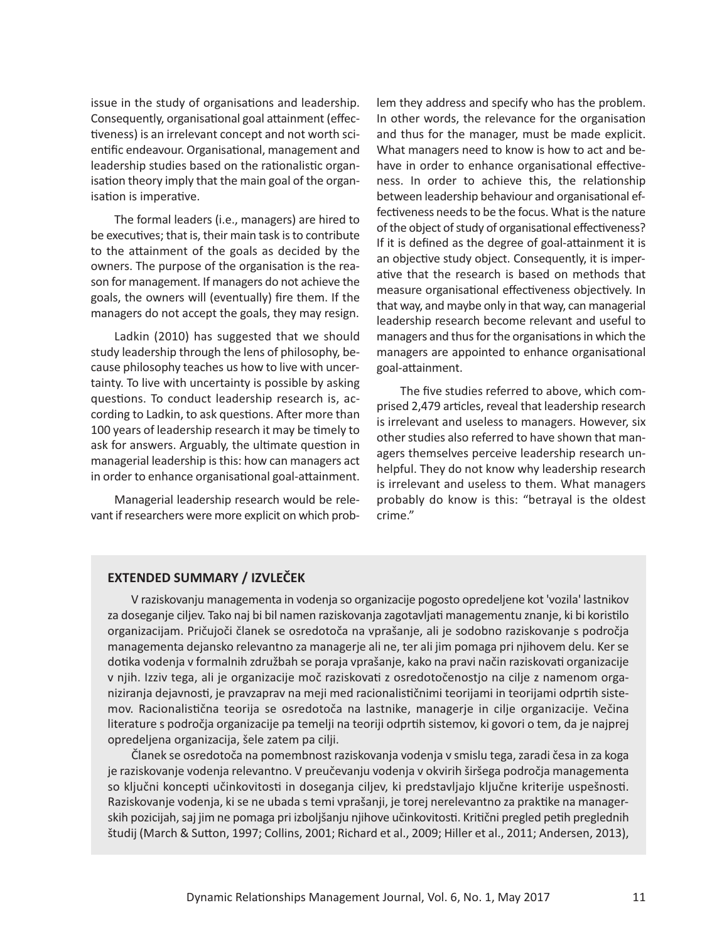issue in the study of organisations and leadership. Consequently, organisational goal attainment (effectiveness) is an irrelevant concept and not worth scientific endeavour. Organisational, management and leadership studies based on the rationalistic organisation theory imply that the main goal of the organisation is imperative.

The formal leaders (i.e., managers) are hired to be executives; that is, their main task is to contribute to the attainment of the goals as decided by the owners. The purpose of the organisation is the reason for management. If managers do not achieve the goals, the owners will (eventually) fire them. If the managers do not accept the goals, they may resign.

Ladkin (2010) has suggested that we should study leadership through the lens of philosophy, because philosophy teaches us how to live with uncertainty. To live with uncertainty is possible by asking questions. To conduct leadership research is, according to Ladkin, to ask questions. After more than 100 years of leadership research it may be timely to ask for answers. Arguably, the ultimate question in managerial leadership isthis: how can managers act in order to enhance organisational goal-attainment.

Managerial leadership research would be relevant if researchers were more explicit on which problem they address and specify who has the problem. In other words, the relevance for the organisation and thus for the manager, must be made explicit. What managers need to know is how to act and behave in order to enhance organisational effectiveness. In order to achieve this, the relationship between leadership behaviour and organisational effectiveness needs to be the focus. What is the nature of the object of study of organisational effectiveness? If it is defined as the degree of goal-attainment it is an objective study object. Consequently, it is imperative that the research is based on methods that measure organisational effectiveness objectively. In that way, and maybe only in that way, can managerial leadership research become relevant and useful to managers and thus for the organisations in which the managers are appointed to enhance organisational goal-attainment.

The five studies referred to above, which comprised 2,479 articles, reveal that leadership research is irrelevant and useless to managers. However, six other studies also referred to have shown that managers themselves perceive leadership research unhelpful. They do not know why leadership research is irrelevant and useless to them. What managers probably do know is this: "betrayal is the oldest crime."

#### **EXTENDED SUMMARY / IZVLEČEK**

V raziskovanju managementa in vodenja so organizacije pogosto opredeljene kot 'vozila' lastnikov za doseganje ciljev. Tako naj bi bil namen raziskovanja zagotavljati managementu znanje, ki bi koristilo organizacijam. Pričujoči članek se osredotoča na vprašanje, ali je sodobno raziskovanje s področja managementa dejansko relevantno za managerje ali ne, ter ali jim pomaga pri njihovem delu. Kerse dotika vodenja v formalnih združbah se poraja vprašanje, kako na pravi način raziskovati organizacije v njih. Izziv tega, ali je organizacije moč raziskovati z osredotočenostjo na cilje z namenom organiziranja dejavnosti, je pravzaprav na meji med racionalističnimi teorijami in teorijami odprtih sistemov. Racionalistična teorija se osredotoča na lastnike, managerje in cilje organizacije. Večina literature s področja organizacije pa temelji na teoriji odprtih sistemov, ki govori o tem, da je najprej opredeljena organizacija, šele zatem pa cilji.

Članek se osredotoča na pomembnost raziskovanja vodenja v smislu tega,zaradi česa in za koga je raziskovanje vodenja relevantno. V preučevanju vodenja v okvirih širšega področja managementa so ključni koncepti učinkovitosti in doseganja ciljev, ki predstavljajo ključne kriterije uspešnosti. Raziskovanje vodenja, ki se ne ubada s temi vprašanji, je torej nerelevantno za praktike na managerskih pozicijah, saj jim ne pomaga pri izboljšanju njihove učinkovitosti. Kritični pregled petih preglednih študij (March & Sutton, 1997; Collins, 2001; Richard et al., 2009; Hiller et al., 2011; Andersen, 2013),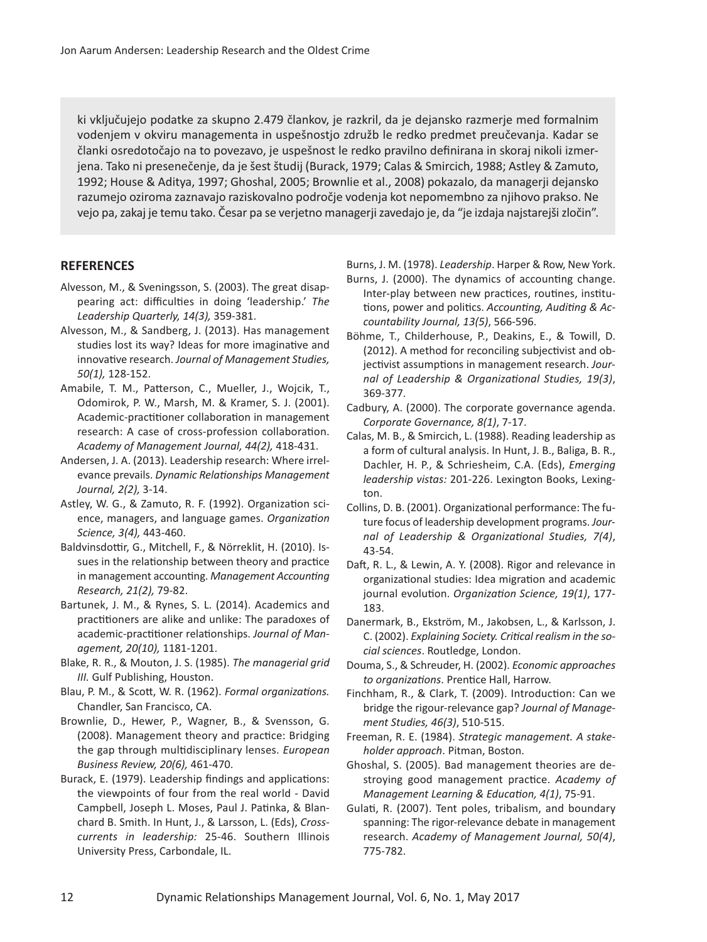ki vključujejo podatke za skupno 2.479 člankov, je razkril, da je dejansko razmerje med formalnim vodenjem v okviru managementa in uspešnostjo združb le redko predmet preučevanja. Kadar se članki osredotočajo na to povezavo, je uspešnost le redko pravilno definirana in skoraj nikoli izmerjena. Tako ni presenečenje, da je šest študij (Burack, 1979; Calas & Smircich, 1988; Astley & Zamuto, 1992; House & Aditya, 1997; Ghoshal, 2005; Brownlie et al., 2008) pokazalo, da managerji dejansko razumejo oziroma zaznavajo raziskovalno področje vodenja kot nepomembno za njihovo prakso. Ne vejo pa,zakaj je temu tako. Česar pa se verjetno managerjizavedajo je, da "je izdaja najstarejšizločin".

#### **REFERENCES**

- Alvesson, M., & Sveningsson, S. (2003). The great disappearing act: difficulties in doing 'leadership.' *The Leadership Quarterly, 14(3),* 359-381.
- Alvesson, M., & Sandberg, J. (2013). Has management studies lost its way? Ideas for more imaginative and innovative research. *Journal of Management Studies, 50(1),* 128-152.
- Amabile, T. M., Patterson, C., Mueller, J., Wojcik, T., Odomirok, P. W., Marsh, M. & Kramer, S. J. (2001). Academic-practitioner collaboration in management research: A case of cross-profession collaboration. *Academy of Management Journal, 44(2),* 418-431.
- Andersen, J. A. (2013). Leadership research: Where irrelevance prevails. *Dynamic Relationships Management Journal, 2(2),* 3-14.
- Astley, W. G., & Zamuto, R. F. (1992). Organization science, managers, and language games. *Organization Science, 3(4),* 443-460.
- Baldvinsdottir, G., Mitchell, F., & Nörreklit, H. (2010). Issues in the relationship between theory and practice in management accounting. *Management Accounting Research, 21(2),* 79-82.
- Bartunek, J. M., & Rynes, S. L. (2014). Academics and practitioners are alike and unlike: The paradoxes of academic-practitioner relationships. *Journal of Management, 20(10),* 1181-1201.
- Blake, R. R., & Mouton, J. S. (1985). *The managerial grid III.* Gulf Publishing, Houston.
- Blau, P. M., & Scott, W. R. (1962). *Formal organizations.* Chandler, San Francisco, CA.
- Brownlie, D., Hewer, P., Wagner, B., & Svensson, G. (2008). Management theory and practice: Bridging the gap through multidisciplinary lenses. *European Business Review, 20(6),* 461-470.
- Burack, E. (1979). Leadership findings and applications: the viewpoints of four from the real world - David Campbell, Joseph L. Moses, Paul J. Patinka, & Blanchard B. Smith. In Hunt, J., & Larsson, L. (Eds), *Crosscurrents in leadership:* 25-46. Southern Illinois University Press, Carbondale, IL.

Burns, J. M. (1978). *Leadership*. Harper & Row, New York.

- Burns, J. (2000). The dynamics of accounting change. Inter-play between new practices, routines, institutions, power and politics. *Accounting, Auditing & Accountability Journal, 13(5)*, 566-596.
- Böhme, T., Childerhouse, P., Deakins, E., & Towill, D. (2012). A method for reconciling subjectivist and objectivist assumptions in management research. *Journal of Leadership & Organizational Studies, 19(3)*, 369-377.
- Cadbury, A. (2000). The corporate governance agenda. *Corporate Governance, 8(1)*, 7-17.
- Calas, M. B., & Smircich, L. (1988). Reading leadership as a form of cultural analysis. In Hunt, J. B., Baliga, B. R., Dachler, H. P., & Schriesheim, C.A. (Eds), *Emerging leadership vistas:* 201-226. Lexington Books, Lexington.
- Collins, D. B. (2001). Organizational performance: The future focus of leadership development programs. *Journal of Leadership & Organizational Studies, 7(4)*, 43-54.
- Daft, R. L., & Lewin, A. Y. (2008). Rigor and relevance in organizational studies: Idea migration and academic journal evolution. *Organization Science, 19(1)*, 177- 183.
- Danermark, B., Ekström, M., Jakobsen, L., & Karlsson, J. C. (2002). *Explaining Society. Critical realism in the social sciences*. Routledge, London.
- Douma, S., & Schreuder, H. (2002). *Economic approaches to organizations*. Prentice Hall, Harrow.
- Finchham, R., & Clark, T. (2009). Introduction: Can we bridge the rigour-relevance gap? *Journal of Management Studies, 46(3)*, 510-515.
- Freeman, R. E. (1984). *Strategic management. A stakeholder approach*. Pitman, Boston.
- Ghoshal, S. (2005). Bad management theories are destroying good management practice. *Academy of Management Learning & Education, 4(1)*, 75-91.
- Gulati, R. (2007). Tent poles, tribalism, and boundary spanning: The rigor-relevance debate in management research. *Academy of Management Journal, 50(4)*, 775-782.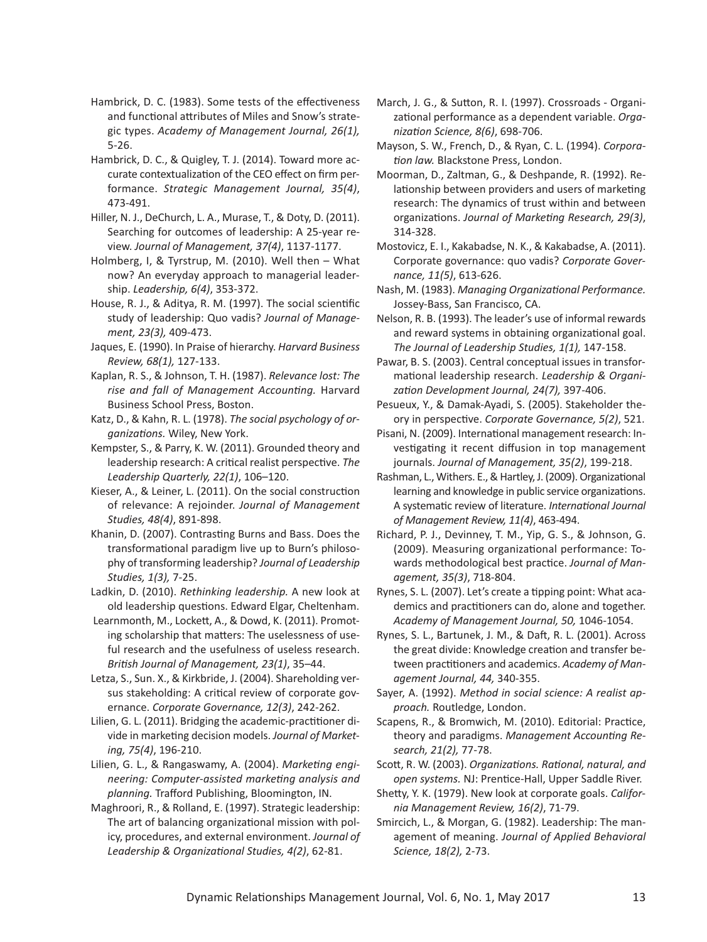- Hambrick, D. C. (1983). Some tests of the effectiveness and functional attributes of Miles and Snow's strategic types. *Academy of Management Journal, 26(1),* 5-26.
- Hambrick, D. C., & Quigley, T. J. (2014). Toward more accurate contextualization of the CEO effect on firm performance. *Strategic Management Journal, 35(4)*, 473-491.
- Hiller, N. J., DeChurch, L. A., Murase, T., & Doty, D. (2011). Searching for outcomes of leadership: A 25-year review. *Journal of Management, 37(4)*, 1137-1177.
- Holmberg, I, & Tyrstrup, M. (2010). Well then What now? An everyday approach to managerial leadership. *Leadership, 6(4)*, 353-372.
- House, R. J., & Aditya, R. M. (1997). The social scientific study of leadership: Quo vadis? *Journal of Management, 23(3),* 409-473.
- Jaques, E. (1990). In Praise of hierarchy. *Harvard Business Review, 68(1),* 127-133.
- Kaplan, R. S., & Johnson, T. H. (1987). *Relevance lost: The rise and fall of Management Accounting.* Harvard Business School Press, Boston.
- Katz, D., & Kahn, R. L. (1978). *The social psychology of organizations.* Wiley, New York.
- Kempster, S., & Parry, K. W. (2011). Grounded theory and leadership research: A critical realist perspective. *The Leadership Quarterly, 22(1)*, 106–120.
- Kieser, A., & Leiner, L. (2011). On the social construction of relevance: A rejoinder. *Journal of Management Studies, 48(4)*, 891-898.
- Khanin, D. (2007). Contrasting Burns and Bass. Does the transformational paradigm live up to Burn's philosophy of transforming leadership? *Journal of Leadership Studies, 1(3),* 7-25.
- Ladkin, D. (2010). *Rethinking leadership.* A new look at old leadership questions. Edward Elgar, Cheltenham.
- Learnmonth, M., Lockett, A., & Dowd, K. (2011). Promoting scholarship that matters: The uselessness of useful research and the usefulness of useless research. *British Journal of Management, 23(1)*, 35–44.
- Letza, S., Sun. X., & Kirkbride, J. (2004). Shareholding versus stakeholding: A critical review of corporate governance. *Corporate Governance, 12(3)*, 242-262.
- Lilien, G. L. (2011). Bridging the academic-practitioner divide in marketing decision models. *Journal of Marketing, 75(4)*, 196-210.
- Lilien, G. L., & Rangaswamy, A. (2004). *Marketing engineering: Computer-assisted marketing analysis and planning.* Trafford Publishing, Bloomington, IN.
- Maghroori, R., & Rolland, E. (1997). Strategic leadership: The art of balancing organizational mission with policy, procedures, and external environment. *Journal of Leadership & Organizational Studies, 4(2)*, 62-81.
- March, J. G., & Sutton, R. I. (1997). Crossroads Organizational performance as a dependent variable. *Organization Science, 8(6)*, 698-706.
- Mayson, S. W., French, D., & Ryan, C. L. (1994). *Corporation law.* Blackstone Press, London.
- Moorman, D., Zaltman, G., & Deshpande, R. (1992). Relationship between providers and users of marketing research: The dynamics of trust within and between organizations. *Journal of Marketing Research, 29(3)*, 314-328.
- Mostovicz, E. I., Kakabadse, N. K., & Kakabadse, A. (2011). Corporate governance: quo vadis? *Corporate Governance, 11(5)*, 613-626.
- Nash, M. (1983). *Managing Organizational Performance.* Jossey-Bass, San Francisco, CA.
- Nelson, R. B. (1993). The leader's use of informal rewards and reward systems in obtaining organizational goal. *The Journal of Leadership Studies, 1(1),* 147-158.
- Pawar, B. S. (2003). Central conceptual issues in transformational leadership research. *Leadership & Organization Development Journal, 24(7),* 397-406.
- Pesueux, Y., & Damak-Ayadi, S. (2005). Stakeholder theory in perspective. *Corporate Governance, 5(2)*, 521.
- Pisani, N. (2009). International management research: Investigating it recent diffusion in top management journals. *Journal of Management, 35(2)*, 199-218.
- Rashman, L., Withers. E., & Hartley, J. (2009). Organizational learning and knowledge in public service organizations. A systematic review of literature. *International Journal of Management Review, 11(4)*, 463-494.
- Richard, P. J., Devinney, T. M., Yip, G. S., & Johnson, G. (2009). Measuring organizational performance: Towards methodological best practice. *Journal of Management, 35(3)*, 718-804.
- Rynes, S. L. (2007). Let's create a tipping point: What academics and practitioners can do, alone and together. *Academy of Management Journal, 50,* 1046-1054.
- Rynes, S. L., Bartunek, J. M., & Daft, R. L. (2001). Across the great divide: Knowledge creation and transfer between practitioners and academics. *Academy of Management Journal, 44,* 340-355.
- Sayer, A. (1992). *Method in social science: A realist approach.* Routledge, London.
- Scapens, R., & Bromwich, M. (2010). Editorial: Practice, theory and paradigms. *Management Accounting Research, 21(2),* 77-78.
- Scott, R. W. (2003). *Organizations. Rational, natural, and open systems.* NJ: Prentice-Hall, Upper Saddle River.
- Shetty, Y. K. (1979). New look at corporate goals. *California Management Review, 16(2)*, 71-79.
- Smircich, L., & Morgan, G. (1982). Leadership: The management of meaning. *Journal of Applied Behavioral Science, 18(2),* 2-73.